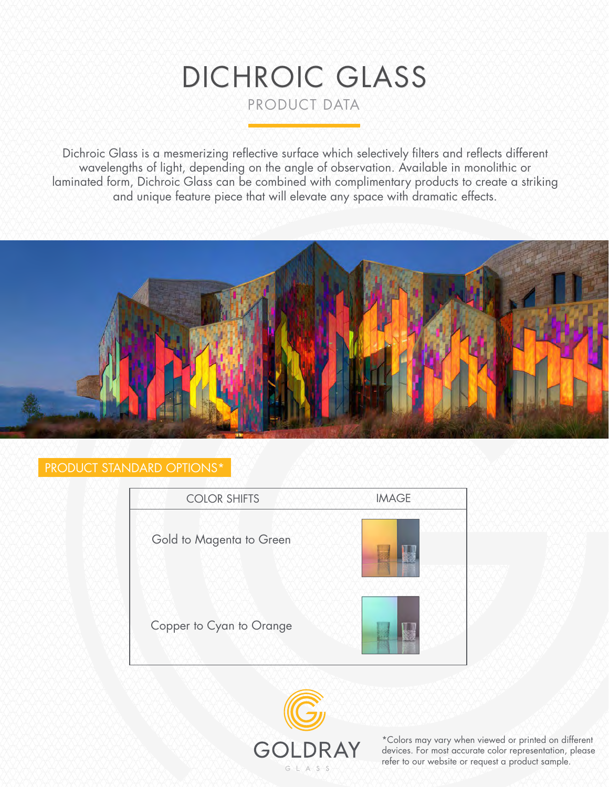# DICHROIC GLASS PRODUCT DATA

Dichroic Glass is a mesmerizing reflective surface which selectively filters and reflects different wavelengths of light, depending on the angle of observation. Available in monolithic or laminated form, Dichroic Glass can be combined with complimentary products to create a striking and unique feature piece that will elevate any space with dramatic effects.



#### PRODUCT STANDARD OPTIONS\*





\*Colors may vary when viewed or printed on different devices. For most accurate color representation, please refer to our website or request a product sample.